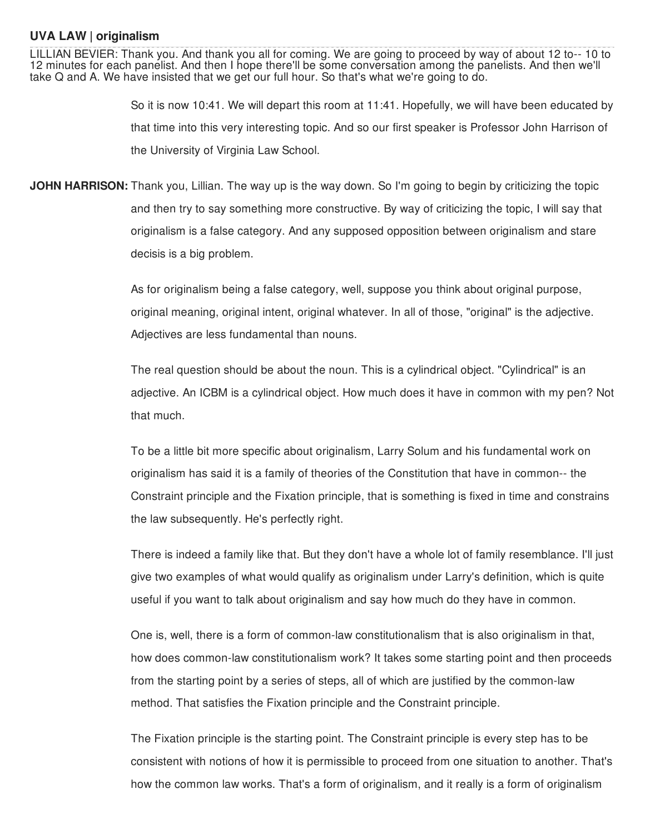## **UVA LAW | originalism**

LILLIAN BEVIER: Thank you. And thank you all for coming. We are going to proceed by way of about 12 to-- 10 to 12 minutes for each panelist. And then I hope there'll be some conversation among the panelists. And then we'll take Q and A. We have insisted that we get our full hour. So that's what we're going to do.

> So it is now 10:41. We will depart this room at 11:41. Hopefully, we will have been educated by that time into this very interesting topic. And so our first speaker is Professor John Harrison of the University of Virginia Law School.

**JOHN HARRISON:** Thank you, Lillian. The way up is the way down. So I'm going to begin by criticizing the topic and then try to say something more constructive. By way of criticizing the topic, I will say that originalism is a false category. And any supposed opposition between originalism and stare decisis is a big problem.

> As for originalism being a false category, well, suppose you think about original purpose, original meaning, original intent, original whatever. In all of those, "original" is the adjective. Adjectives are less fundamental than nouns.

The real question should be about the noun. This is a cylindrical object. "Cylindrical" is an adjective. An ICBM is a cylindrical object. How much does it have in common with my pen? Not that much.

To be a little bit more specific about originalism, Larry Solum and his fundamental work on originalism has said it is a family of theories of the Constitution that have in common-- the Constraint principle and the Fixation principle, that is something is fixed in time and constrains the law subsequently. He's perfectly right.

There is indeed a family like that. But they don't have a whole lot of family resemblance. I'll just give two examples of what would qualify as originalism under Larry's definition, which is quite useful if you want to talk about originalism and say how much do they have in common.

One is, well, there is a form of common-law constitutionalism that is also originalism in that, how does common-law constitutionalism work? It takes some starting point and then proceeds from the starting point by a series of steps, all of which are justified by the common-law method. That satisfies the Fixation principle and the Constraint principle.

The Fixation principle is the starting point. The Constraint principle is every step has to be consistent with notions of how it is permissible to proceed from one situation to another. That's how the common law works. That's a form of originalism, and it really is a form of originalism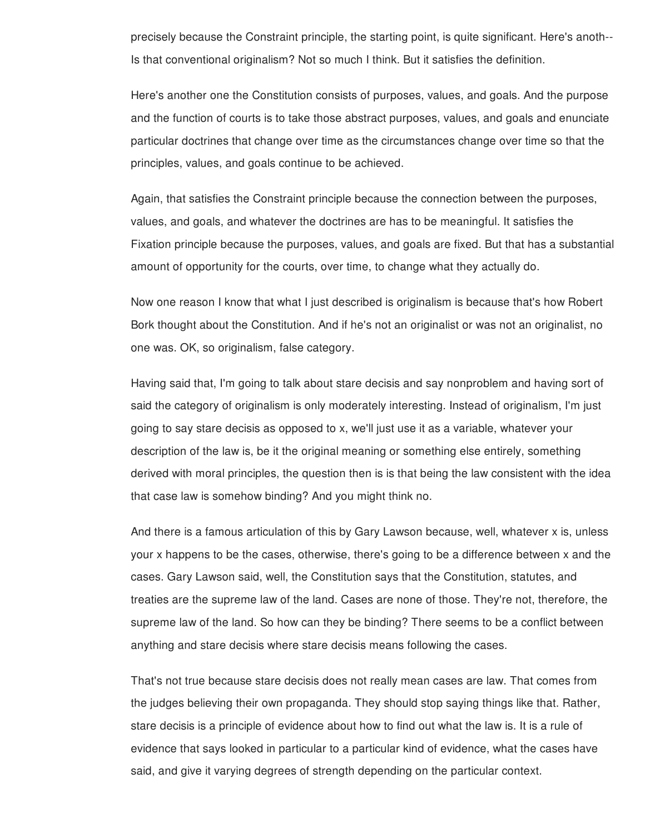precisely because the Constraint principle, the starting point, is quite significant. Here's anoth-- Is that conventional originalism? Not so much I think. But it satisfies the definition.

Here's another one the Constitution consists of purposes, values, and goals. And the purpose and the function of courts is to take those abstract purposes, values, and goals and enunciate particular doctrines that change over time as the circumstances change over time so that the principles, values, and goals continue to be achieved.

Again, that satisfies the Constraint principle because the connection between the purposes, values, and goals, and whatever the doctrines are has to be meaningful. It satisfies the Fixation principle because the purposes, values, and goals are fixed. But that has a substantial amount of opportunity for the courts, over time, to change what they actually do.

Now one reason I know that what I just described is originalism is because that's how Robert Bork thought about the Constitution. And if he's not an originalist or was not an originalist, no one was. OK, so originalism, false category.

Having said that, I'm going to talk about stare decisis and say nonproblem and having sort of said the category of originalism is only moderately interesting. Instead of originalism, I'm just going to say stare decisis as opposed to x, we'll just use it as a variable, whatever your description of the law is, be it the original meaning or something else entirely, something derived with moral principles, the question then is is that being the law consistent with the idea that case law is somehow binding? And you might think no.

And there is a famous articulation of this by Gary Lawson because, well, whatever x is, unless your x happens to be the cases, otherwise, there's going to be a difference between x and the cases. Gary Lawson said, well, the Constitution says that the Constitution, statutes, and treaties are the supreme law of the land. Cases are none of those. They're not, therefore, the supreme law of the land. So how can they be binding? There seems to be a conflict between anything and stare decisis where stare decisis means following the cases.

That's not true because stare decisis does not really mean cases are law. That comes from the judges believing their own propaganda. They should stop saying things like that. Rather, stare decisis is a principle of evidence about how to find out what the law is. It is a rule of evidence that says looked in particular to a particular kind of evidence, what the cases have said, and give it varying degrees of strength depending on the particular context.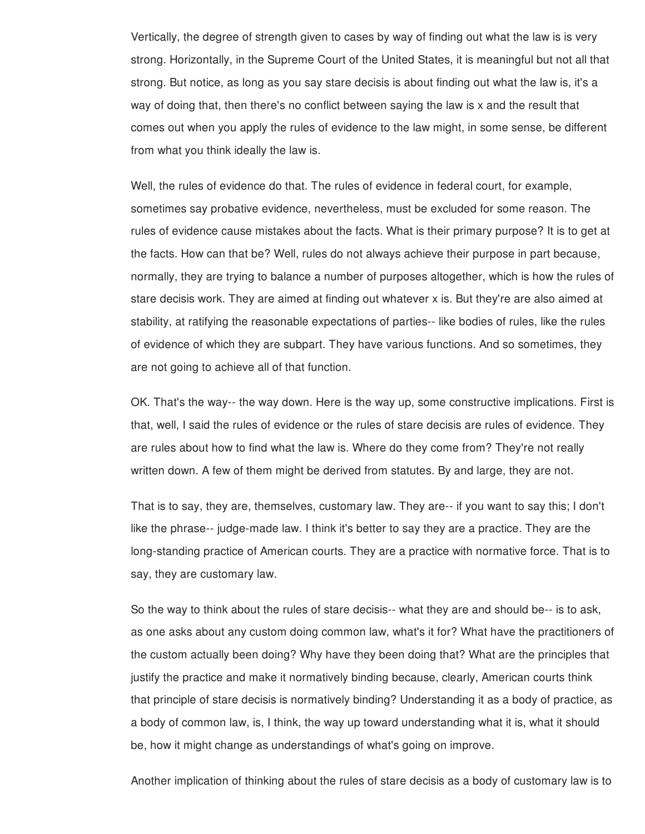Vertically, the degree of strength given to cases by way of finding out what the law is is very strong. Horizontally, in the Supreme Court of the United States, it is meaningful but not all that strong. But notice, as long as you say stare decisis is about finding out what the law is, it's a way of doing that, then there's no conflict between saying the law is x and the result that comes out when you apply the rules of evidence to the law might, in some sense, be different from what you think ideally the law is.

Well, the rules of evidence do that. The rules of evidence in federal court, for example, sometimes say probative evidence, nevertheless, must be excluded for some reason. The rules of evidence cause mistakes about the facts. What is their primary purpose? It is to get at the facts. How can that be? Well, rules do not always achieve their purpose in part because, normally, they are trying to balance a number of purposes altogether, which is how the rules of stare decisis work. They are aimed at finding out whatever x is. But they're are also aimed at stability, at ratifying the reasonable expectations of parties-- like bodies of rules, like the rules of evidence of which they are subpart. They have various functions. And so sometimes, they are not going to achieve all of that function.

OK. That's the way-- the way down. Here is the way up, some constructive implications. First is that, well, I said the rules of evidence or the rules of stare decisis are rules of evidence. They are rules about how to find what the law is. Where do they come from? They're not really written down. A few of them might be derived from statutes. By and large, they are not.

That is to say, they are, themselves, customary law. They are-- if you want to say this; I don't like the phrase-- judge-made law. I think it's better to say they are a practice. They are the long-standing practice of American courts. They are a practice with normative force. That is to say, they are customary law.

So the way to think about the rules of stare decisis-- what they are and should be-- is to ask, as one asks about any custom doing common law, what's it for? What have the practitioners of the custom actually been doing? Why have they been doing that? What are the principles that justify the practice and make it normatively binding because, clearly, American courts think that principle of stare decisis is normatively binding? Understanding it as a body of practice, as a body of common law, is, I think, the way up toward understanding what it is, what it should be, how it might change as understandings of what's going on improve.

Another implication of thinking about the rules of stare decisis as a body of customary law is to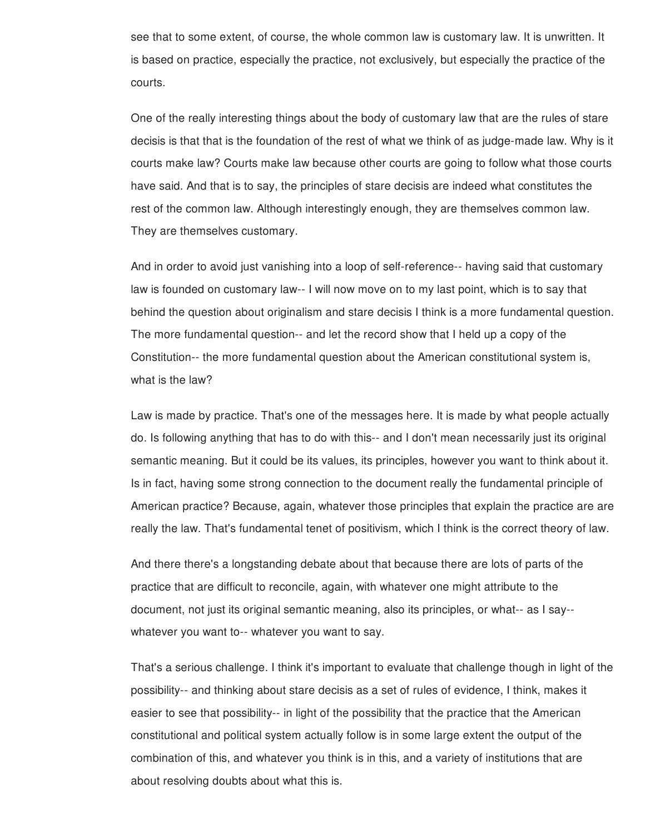see that to some extent, of course, the whole common law is customary law. It is unwritten. It is based on practice, especially the practice, not exclusively, but especially the practice of the courts.

One of the really interesting things about the body of customary law that are the rules of stare decisis is that that is the foundation of the rest of what we think of as judge-made law. Why is it courts make law? Courts make law because other courts are going to follow what those courts have said. And that is to say, the principles of stare decisis are indeed what constitutes the rest of the common law. Although interestingly enough, they are themselves common law. They are themselves customary.

And in order to avoid just vanishing into a loop of self-reference-- having said that customary law is founded on customary law-- I will now move on to my last point, which is to say that behind the question about originalism and stare decisis I think is a more fundamental question. The more fundamental question-- and let the record show that I held up a copy of the Constitution-- the more fundamental question about the American constitutional system is, what is the law?

Law is made by practice. That's one of the messages here. It is made by what people actually do. Is following anything that has to do with this-- and I don't mean necessarily just its original semantic meaning. But it could be its values, its principles, however you want to think about it. Is in fact, having some strong connection to the document really the fundamental principle of American practice? Because, again, whatever those principles that explain the practice are are really the law. That's fundamental tenet of positivism, which I think is the correct theory of law.

And there there's a longstanding debate about that because there are lots of parts of the practice that are difficult to reconcile, again, with whatever one might attribute to the document, not just its original semantic meaning, also its principles, or what-- as I say- whatever you want to-- whatever you want to say.

That's a serious challenge. I think it's important to evaluate that challenge though in light of the possibility-- and thinking about stare decisis as a set of rules of evidence, I think, makes it easier to see that possibility-- in light of the possibility that the practice that the American constitutional and political system actually follow is in some large extent the output of the combination of this, and whatever you think is in this, and a variety of institutions that are about resolving doubts about what this is.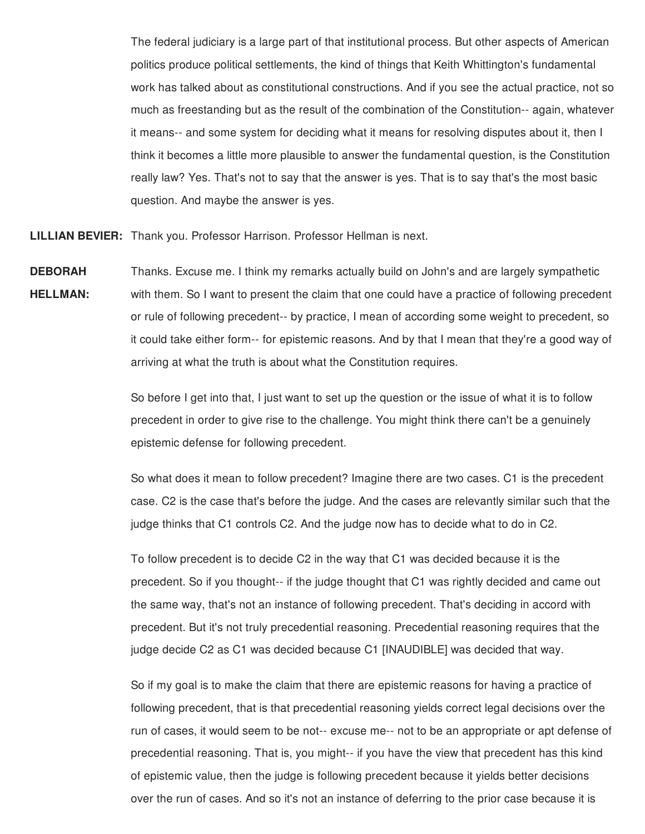The federal judiciary is a large part of that institutional process. But other aspects of American politics produce political settlements, the kind of things that Keith Whittington's fundamental work has talked about as constitutional constructions. And if you see the actual practice, not so much as freestanding but as the result of the combination of the Constitution-- again, whatever it means-- and some system for deciding what it means for resolving disputes about it, then I think it becomes a little more plausible to answer the fundamental question, is the Constitution really law? Yes. That's not to say that the answer is yes. That is to say that's the most basic question. And maybe the answer is yes.

**LILLIAN BEVIER:** Thank you. Professor Harrison. Professor Hellman is next.

**DEBORAH HELLMAN:** Thanks. Excuse me. I think my remarks actually build on John's and are largely sympathetic with them. So I want to present the claim that one could have a practice of following precedent or rule of following precedent-- by practice, I mean of according some weight to precedent, so it could take either form-- for epistemic reasons. And by that I mean that they're a good way of arriving at what the truth is about what the Constitution requires.

> So before I get into that, I just want to set up the question or the issue of what it is to follow precedent in order to give rise to the challenge. You might think there can't be a genuinely epistemic defense for following precedent.

So what does it mean to follow precedent? Imagine there are two cases. C1 is the precedent case. C2 is the case that's before the judge. And the cases are relevantly similar such that the judge thinks that C1 controls C2. And the judge now has to decide what to do in C2.

To follow precedent is to decide C2 in the way that C1 was decided because it is the precedent. So if you thought-- if the judge thought that C1 was rightly decided and came out the same way, that's not an instance of following precedent. That's deciding in accord with precedent. But it's not truly precedential reasoning. Precedential reasoning requires that the judge decide C2 as C1 was decided because C1 [INAUDIBLE] was decided that way.

So if my goal is to make the claim that there are epistemic reasons for having a practice of following precedent, that is that precedential reasoning yields correct legal decisions over the run of cases, it would seem to be not-- excuse me-- not to be an appropriate or apt defense of precedential reasoning. That is, you might-- if you have the view that precedent has this kind of epistemic value, then the judge is following precedent because it yields better decisions over the run of cases. And so it's not an instance of deferring to the prior case because it is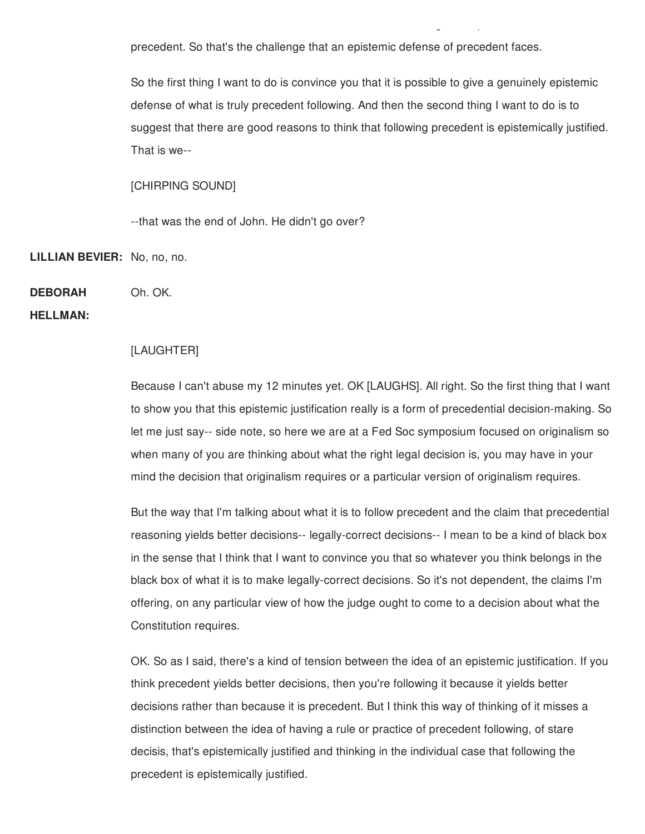precedent. So that's the challenge that an epistemic defense of precedent faces.

So the first thing I want to do is convince you that it is possible to give a genuinely epistemic defense of what is truly precedent following. And then the second thing I want to do is to suggest that there are good reasons to think that following precedent is epistemically justified. That is we--

over the run of cases. And so it is not an instance of deferring to the prior case because it is instance of  $\alpha$ 

## [CHIRPING SOUND]

--that was the end of John. He didn't go over?

**LILLIAN BEVIER:** No, no, no.

**DEBORAH** Oh. OK.

**HELLMAN:**

## [LAUGHTER]

Because I can't abuse my 12 minutes yet. OK [LAUGHS]. All right. So the first thing that I want to show you that this epistemic justification really is a form of precedential decision-making. So let me just say-- side note, so here we are at a Fed Soc symposium focused on originalism so when many of you are thinking about what the right legal decision is, you may have in your mind the decision that originalism requires or a particular version of originalism requires.

But the way that I'm talking about what it is to follow precedent and the claim that precedential reasoning yields better decisions-- legally-correct decisions-- I mean to be a kind of black box in the sense that I think that I want to convince you that so whatever you think belongs in the black box of what it is to make legally-correct decisions. So it's not dependent, the claims I'm offering, on any particular view of how the judge ought to come to a decision about what the Constitution requires.

OK. So as I said, there's a kind of tension between the idea of an epistemic justification. If you think precedent yields better decisions, then you're following it because it yields better decisions rather than because it is precedent. But I think this way of thinking of it misses a distinction between the idea of having a rule or practice of precedent following, of stare decisis, that's epistemically justified and thinking in the individual case that following the precedent is epistemically justified.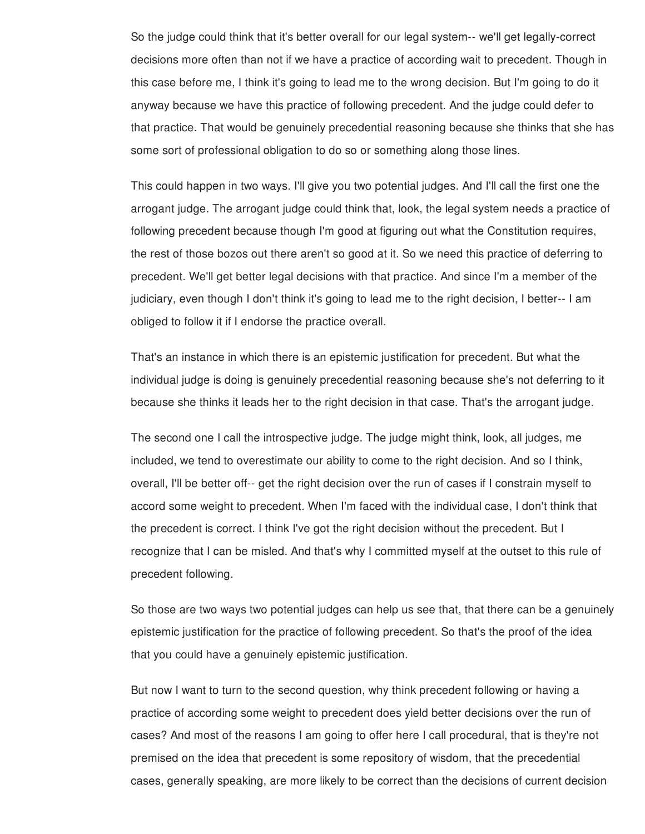So the judge could think that it's better overall for our legal system-- we'll get legally-correct decisions more often than not if we have a practice of according wait to precedent. Though in this case before me, I think it's going to lead me to the wrong decision. But I'm going to do it anyway because we have this practice of following precedent. And the judge could defer to that practice. That would be genuinely precedential reasoning because she thinks that she has some sort of professional obligation to do so or something along those lines.

This could happen in two ways. I'll give you two potential judges. And I'll call the first one the arrogant judge. The arrogant judge could think that, look, the legal system needs a practice of following precedent because though I'm good at figuring out what the Constitution requires, the rest of those bozos out there aren't so good at it. So we need this practice of deferring to precedent. We'll get better legal decisions with that practice. And since I'm a member of the judiciary, even though I don't think it's going to lead me to the right decision, I better-- I am obliged to follow it if I endorse the practice overall.

That's an instance in which there is an epistemic justification for precedent. But what the individual judge is doing is genuinely precedential reasoning because she's not deferring to it because she thinks it leads her to the right decision in that case. That's the arrogant judge.

The second one I call the introspective judge. The judge might think, look, all judges, me included, we tend to overestimate our ability to come to the right decision. And so I think, overall, I'll be better off-- get the right decision over the run of cases if I constrain myself to accord some weight to precedent. When I'm faced with the individual case, I don't think that the precedent is correct. I think I've got the right decision without the precedent. But I recognize that I can be misled. And that's why I committed myself at the outset to this rule of precedent following.

So those are two ways two potential judges can help us see that, that there can be a genuinely epistemic justification for the practice of following precedent. So that's the proof of the idea that you could have a genuinely epistemic justification.

But now I want to turn to the second question, why think precedent following or having a practice of according some weight to precedent does yield better decisions over the run of cases? And most of the reasons I am going to offer here I call procedural, that is they're not premised on the idea that precedent is some repository of wisdom, that the precedential cases, generally speaking, are more likely to be correct than the decisions of current decision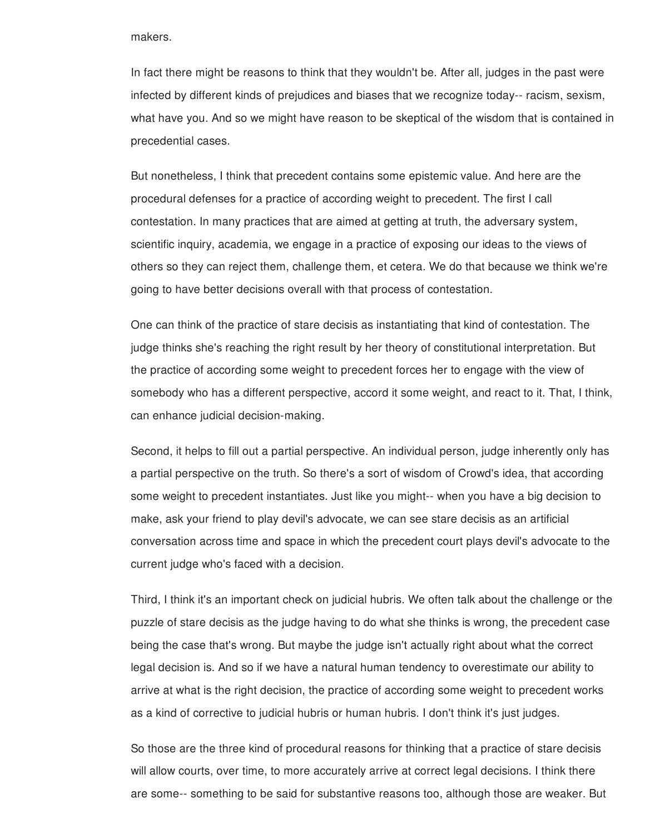makers.

In fact there might be reasons to think that they wouldn't be. After all, judges in the past were infected by different kinds of prejudices and biases that we recognize today-- racism, sexism, what have you. And so we might have reason to be skeptical of the wisdom that is contained in precedential cases.

But nonetheless, I think that precedent contains some epistemic value. And here are the procedural defenses for a practice of according weight to precedent. The first I call contestation. In many practices that are aimed at getting at truth, the adversary system, scientific inquiry, academia, we engage in a practice of exposing our ideas to the views of others so they can reject them, challenge them, et cetera. We do that because we think we're going to have better decisions overall with that process of contestation.

One can think of the practice of stare decisis as instantiating that kind of contestation. The judge thinks she's reaching the right result by her theory of constitutional interpretation. But the practice of according some weight to precedent forces her to engage with the view of somebody who has a different perspective, accord it some weight, and react to it. That, I think, can enhance judicial decision-making.

Second, it helps to fill out a partial perspective. An individual person, judge inherently only has a partial perspective on the truth. So there's a sort of wisdom of Crowd's idea, that according some weight to precedent instantiates. Just like you might-- when you have a big decision to make, ask your friend to play devil's advocate, we can see stare decisis as an artificial conversation across time and space in which the precedent court plays devil's advocate to the current judge who's faced with a decision.

Third, I think it's an important check on judicial hubris. We often talk about the challenge or the puzzle of stare decisis as the judge having to do what she thinks is wrong, the precedent case being the case that's wrong. But maybe the judge isn't actually right about what the correct legal decision is. And so if we have a natural human tendency to overestimate our ability to arrive at what is the right decision, the practice of according some weight to precedent works as a kind of corrective to judicial hubris or human hubris. I don't think it's just judges.

So those are the three kind of procedural reasons for thinking that a practice of stare decisis will allow courts, over time, to more accurately arrive at correct legal decisions. I think there are some-- something to be said for substantive reasons too, although those are weaker. But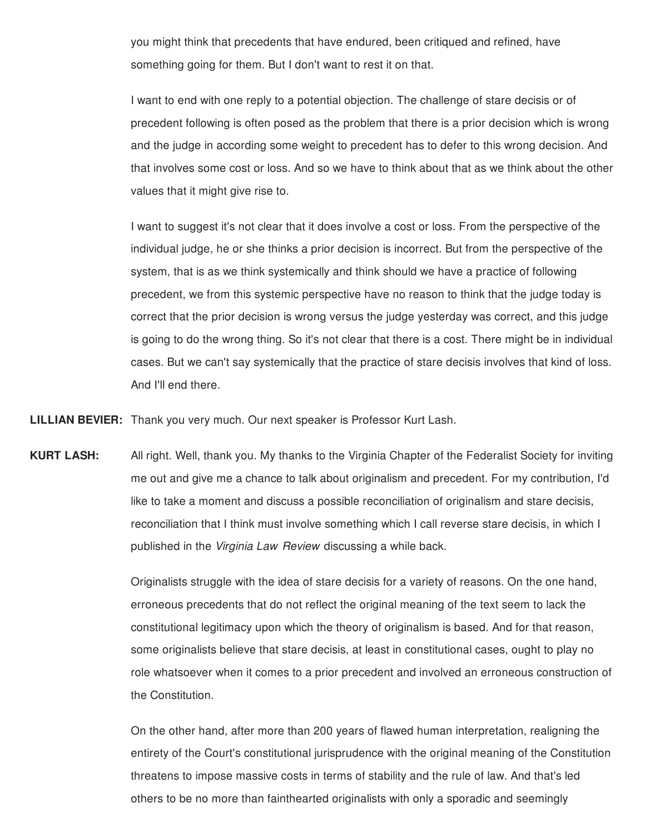you might think that precedents that have endured, been critiqued and refined, have something going for them. But I don't want to rest it on that.

I want to end with one reply to a potential objection. The challenge of stare decisis or of precedent following is often posed as the problem that there is a prior decision which is wrong and the judge in according some weight to precedent has to defer to this wrong decision. And that involves some cost or loss. And so we have to think about that as we think about the other values that it might give rise to.

I want to suggest it's not clear that it does involve a cost or loss. From the perspective of the individual judge, he or she thinks a prior decision is incorrect. But from the perspective of the system, that is as we think systemically and think should we have a practice of following precedent, we from this systemic perspective have no reason to think that the judge today is correct that the prior decision is wrong versus the judge yesterday was correct, and this judge is going to do the wrong thing. So it's not clear that there is a cost. There might be in individual cases. But we can't say systemically that the practice of stare decisis involves that kind of loss. And I'll end there.

**LILLIAN BEVIER:** Thank you very much. Our next speaker is Professor Kurt Lash.

**KURT LASH:** All right. Well, thank you. My thanks to the Virginia Chapter of the Federalist Society for inviting me out and give me a chance to talk about originalism and precedent. For my contribution, I'd like to take a moment and discuss a possible reconciliation of originalism and stare decisis, reconciliation that I think must involve something which I call reverse stare decisis, in which I published in the *Virginia Law Review* discussing a while back.

> Originalists struggle with the idea of stare decisis for a variety of reasons. On the one hand, erroneous precedents that do not reflect the original meaning of the text seem to lack the constitutional legitimacy upon which the theory of originalism is based. And for that reason, some originalists believe that stare decisis, at least in constitutional cases, ought to play no role whatsoever when it comes to a prior precedent and involved an erroneous construction of the Constitution.

> On the other hand, after more than 200 years of flawed human interpretation, realigning the entirety of the Court's constitutional jurisprudence with the original meaning of the Constitution threatens to impose massive costs in terms of stability and the rule of law. And that's led others to be no more than fainthearted originalists with only a sporadic and seemingly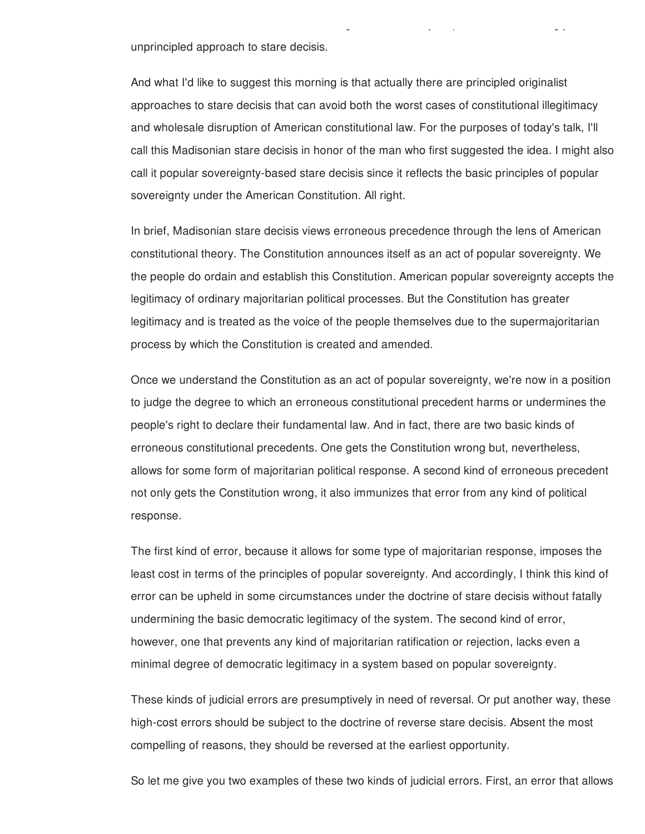unprincipled approach to stare decisis.

And what I'd like to suggest this morning is that actually there are principled originalist approaches to stare decisis that can avoid both the worst cases of constitutional illegitimacy and wholesale disruption of American constitutional law. For the purposes of today's talk, I'll call this Madisonian stare decisis in honor of the man who first suggested the idea. I might also call it popular sovereignty-based stare decisis since it reflects the basic principles of popular sovereignty under the American Constitution. All right.

others to be no more than faint  $\frac{1}{2}$  sports with only a sports with only a sports with only a sports with

In brief, Madisonian stare decisis views erroneous precedence through the lens of American constitutional theory. The Constitution announces itself as an act of popular sovereignty. We the people do ordain and establish this Constitution. American popular sovereignty accepts the legitimacy of ordinary majoritarian political processes. But the Constitution has greater legitimacy and is treated as the voice of the people themselves due to the supermajoritarian process by which the Constitution is created and amended.

Once we understand the Constitution as an act of popular sovereignty, we're now in a position to judge the degree to which an erroneous constitutional precedent harms or undermines the people's right to declare their fundamental law. And in fact, there are two basic kinds of erroneous constitutional precedents. One gets the Constitution wrong but, nevertheless, allows for some form of majoritarian political response. A second kind of erroneous precedent not only gets the Constitution wrong, it also immunizes that error from any kind of political response.

The first kind of error, because it allows for some type of majoritarian response, imposes the least cost in terms of the principles of popular sovereignty. And accordingly, I think this kind of error can be upheld in some circumstances under the doctrine of stare decisis without fatally undermining the basic democratic legitimacy of the system. The second kind of error, however, one that prevents any kind of majoritarian ratification or rejection, lacks even a minimal degree of democratic legitimacy in a system based on popular sovereignty.

These kinds of judicial errors are presumptively in need of reversal. Or put another way, these high-cost errors should be subject to the doctrine of reverse stare decisis. Absent the most compelling of reasons, they should be reversed at the earliest opportunity.

So let me give you two examples of these two kinds of judicial errors. First, an error that allows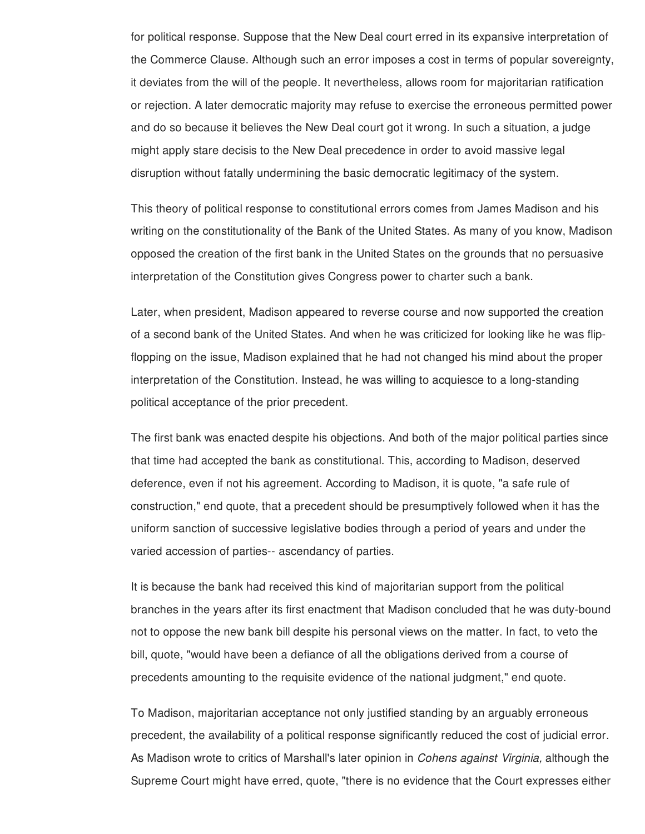for political response. Suppose that the New Deal court erred in its expansive interpretation of the Commerce Clause. Although such an error imposes a cost in terms of popular sovereignty, it deviates from the will of the people. It nevertheless, allows room for majoritarian ratification or rejection. A later democratic majority may refuse to exercise the erroneous permitted power and do so because it believes the New Deal court got it wrong. In such a situation, a judge might apply stare decisis to the New Deal precedence in order to avoid massive legal disruption without fatally undermining the basic democratic legitimacy of the system.

This theory of political response to constitutional errors comes from James Madison and his writing on the constitutionality of the Bank of the United States. As many of you know, Madison opposed the creation of the first bank in the United States on the grounds that no persuasive interpretation of the Constitution gives Congress power to charter such a bank.

Later, when president, Madison appeared to reverse course and now supported the creation of a second bank of the United States. And when he was criticized for looking like he was flipflopping on the issue, Madison explained that he had not changed his mind about the proper interpretation of the Constitution. Instead, he was willing to acquiesce to a long-standing political acceptance of the prior precedent.

The first bank was enacted despite his objections. And both of the major political parties since that time had accepted the bank as constitutional. This, according to Madison, deserved deference, even if not his agreement. According to Madison, it is quote, "a safe rule of construction," end quote, that a precedent should be presumptively followed when it has the uniform sanction of successive legislative bodies through a period of years and under the varied accession of parties-- ascendancy of parties.

It is because the bank had received this kind of majoritarian support from the political branches in the years after its first enactment that Madison concluded that he was duty-bound not to oppose the new bank bill despite his personal views on the matter. In fact, to veto the bill, quote, "would have been a defiance of all the obligations derived from a course of precedents amounting to the requisite evidence of the national judgment," end quote.

To Madison, majoritarian acceptance not only justified standing by an arguably erroneous precedent, the availability of a political response significantly reduced the cost of judicial error. As Madison wrote to critics of Marshall's later opinion in *Cohens against Virginia,* although the Supreme Court might have erred, quote, "there is no evidence that the Court expresses either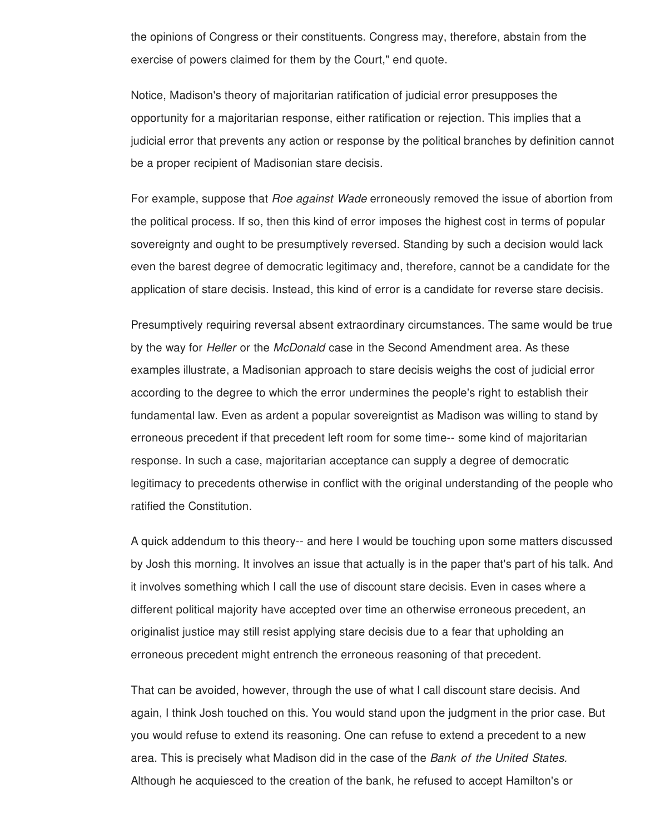the opinions of Congress or their constituents. Congress may, therefore, abstain from the exercise of powers claimed for them by the Court," end quote.

Notice, Madison's theory of majoritarian ratification of judicial error presupposes the opportunity for a majoritarian response, either ratification or rejection. This implies that a judicial error that prevents any action or response by the political branches by definition cannot be a proper recipient of Madisonian stare decisis.

For example, suppose that *Roe against Wade* erroneously removed the issue of abortion from the political process. If so, then this kind of error imposes the highest cost in terms of popular sovereignty and ought to be presumptively reversed. Standing by such a decision would lack even the barest degree of democratic legitimacy and, therefore, cannot be a candidate for the application of stare decisis. Instead, this kind of error is a candidate for reverse stare decisis.

Presumptively requiring reversal absent extraordinary circumstances. The same would be true by the way for *Heller* or the *McDonald* case in the Second Amendment area. As these examples illustrate, a Madisonian approach to stare decisis weighs the cost of judicial error according to the degree to which the error undermines the people's right to establish their fundamental law. Even as ardent a popular sovereigntist as Madison was willing to stand by erroneous precedent if that precedent left room for some time-- some kind of majoritarian response. In such a case, majoritarian acceptance can supply a degree of democratic legitimacy to precedents otherwise in conflict with the original understanding of the people who ratified the Constitution.

A quick addendum to this theory-- and here I would be touching upon some matters discussed by Josh this morning. It involves an issue that actually is in the paper that's part of his talk. And it involves something which I call the use of discount stare decisis. Even in cases where a different political majority have accepted over time an otherwise erroneous precedent, an originalist justice may still resist applying stare decisis due to a fear that upholding an erroneous precedent might entrench the erroneous reasoning of that precedent.

That can be avoided, however, through the use of what I call discount stare decisis. And again, I think Josh touched on this. You would stand upon the judgment in the prior case. But you would refuse to extend its reasoning. One can refuse to extend a precedent to a new area. This is precisely what Madison did in the case of the *Bank of the United States.* Although he acquiesced to the creation of the bank, he refused to accept Hamilton's or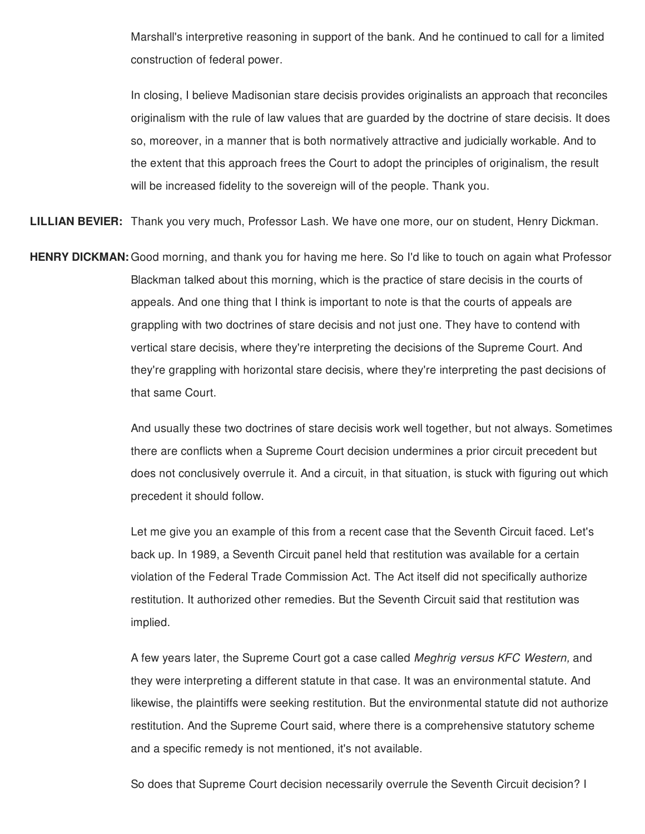Marshall's interpretive reasoning in support of the bank. And he continued to call for a limited construction of federal power.

In closing, I believe Madisonian stare decisis provides originalists an approach that reconciles originalism with the rule of law values that are guarded by the doctrine of stare decisis. It does so, moreover, in a manner that is both normatively attractive and judicially workable. And to the extent that this approach frees the Court to adopt the principles of originalism, the result will be increased fidelity to the sovereign will of the people. Thank you.

**LILLIAN BEVIER:** Thank you very much, Professor Lash. We have one more, our on student, Henry Dickman.

**HENRY DICKMAN:** Good morning, and thank you for having me here. So I'd like to touch on again what Professor Blackman talked about this morning, which is the practice of stare decisis in the courts of appeals. And one thing that I think is important to note is that the courts of appeals are grappling with two doctrines of stare decisis and not just one. They have to contend with vertical stare decisis, where they're interpreting the decisions of the Supreme Court. And they're grappling with horizontal stare decisis, where they're interpreting the past decisions of that same Court.

> And usually these two doctrines of stare decisis work well together, but not always. Sometimes there are conflicts when a Supreme Court decision undermines a prior circuit precedent but does not conclusively overrule it. And a circuit, in that situation, is stuck with figuring out which precedent it should follow.

Let me give you an example of this from a recent case that the Seventh Circuit faced. Let's back up. In 1989, a Seventh Circuit panel held that restitution was available for a certain violation of the Federal Trade Commission Act. The Act itself did not specifically authorize restitution. It authorized other remedies. But the Seventh Circuit said that restitution was implied.

A few years later, the Supreme Court got a case called *Meghrig versus KFC Western,* and they were interpreting a different statute in that case. It was an environmental statute. And likewise, the plaintiffs were seeking restitution. But the environmental statute did not authorize restitution. And the Supreme Court said, where there is a comprehensive statutory scheme and a specific remedy is not mentioned, it's not available.

So does that Supreme Court decision necessarily overrule the Seventh Circuit decision? I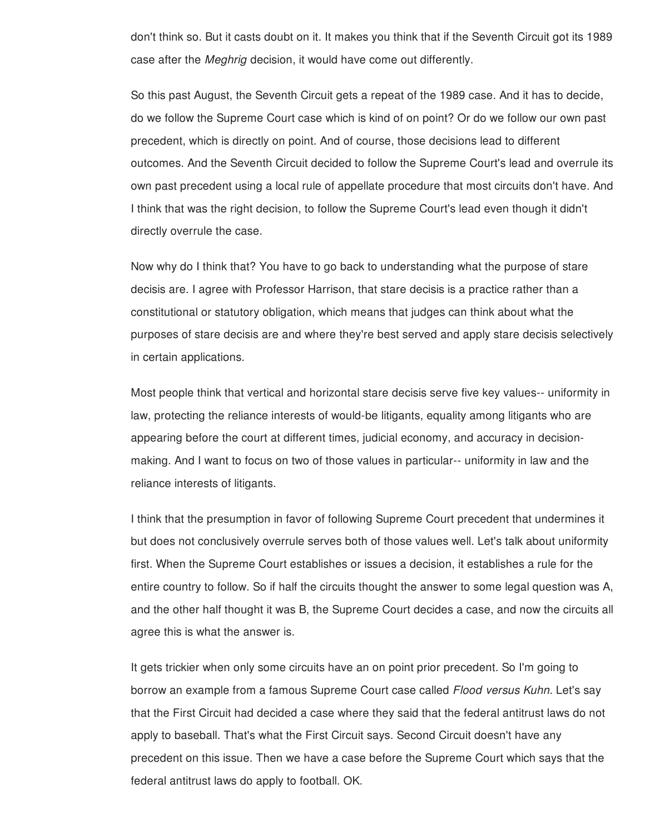don't think so. But it casts doubt on it. It makes you think that if the Seventh Circuit got its 1989 case after the *Meghrig* decision, it would have come out differently.

So this past August, the Seventh Circuit gets a repeat of the 1989 case. And it has to decide, do we follow the Supreme Court case which is kind of on point? Or do we follow our own past precedent, which is directly on point. And of course, those decisions lead to different outcomes. And the Seventh Circuit decided to follow the Supreme Court's lead and overrule its own past precedent using a local rule of appellate procedure that most circuits don't have. And I think that was the right decision, to follow the Supreme Court's lead even though it didn't directly overrule the case.

Now why do I think that? You have to go back to understanding what the purpose of stare decisis are. I agree with Professor Harrison, that stare decisis is a practice rather than a constitutional or statutory obligation, which means that judges can think about what the purposes of stare decisis are and where they're best served and apply stare decisis selectively in certain applications.

Most people think that vertical and horizontal stare decisis serve five key values-- uniformity in law, protecting the reliance interests of would-be litigants, equality among litigants who are appearing before the court at different times, judicial economy, and accuracy in decisionmaking. And I want to focus on two of those values in particular-- uniformity in law and the reliance interests of litigants.

I think that the presumption in favor of following Supreme Court precedent that undermines it but does not conclusively overrule serves both of those values well. Let's talk about uniformity first. When the Supreme Court establishes or issues a decision, it establishes a rule for the entire country to follow. So if half the circuits thought the answer to some legal question was A, and the other half thought it was B, the Supreme Court decides a case, and now the circuits all agree this is what the answer is.

It gets trickier when only some circuits have an on point prior precedent. So I'm going to borrow an example from a famous Supreme Court case called *Flood versus Kuhn.* Let's say that the First Circuit had decided a case where they said that the federal antitrust laws do not apply to baseball. That's what the First Circuit says. Second Circuit doesn't have any precedent on this issue. Then we have a case before the Supreme Court which says that the federal antitrust laws do apply to football. OK.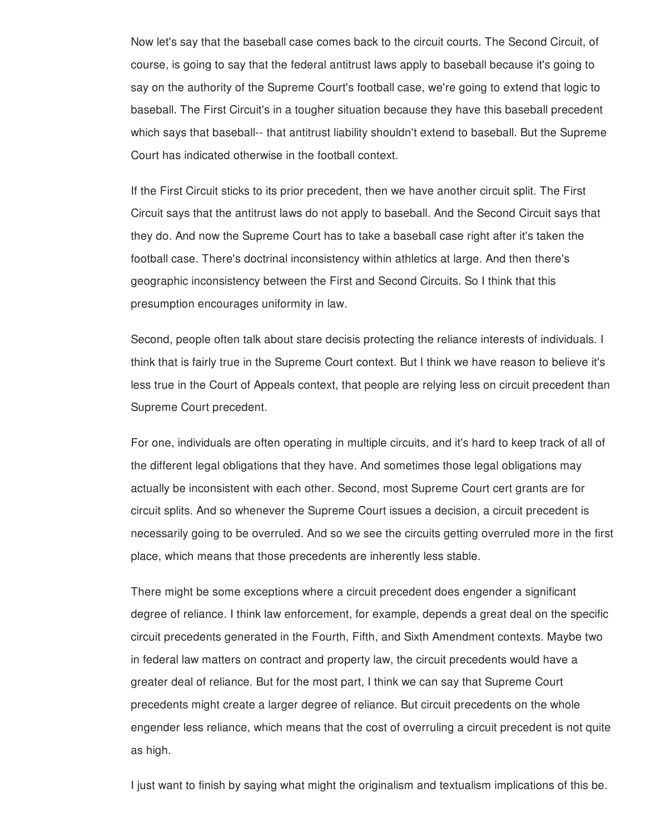Now let's say that the baseball case comes back to the circuit courts. The Second Circuit, of course, is going to say that the federal antitrust laws apply to baseball because it's going to say on the authority of the Supreme Court's football case, we're going to extend that logic to baseball. The First Circuit's in a tougher situation because they have this baseball precedent which says that baseball-- that antitrust liability shouldn't extend to baseball. But the Supreme Court has indicated otherwise in the football context.

If the First Circuit sticks to its prior precedent, then we have another circuit split. The First Circuit says that the antitrust laws do not apply to baseball. And the Second Circuit says that they do. And now the Supreme Court has to take a baseball case right after it's taken the football case. There's doctrinal inconsistency within athletics at large. And then there's geographic inconsistency between the First and Second Circuits. So I think that this presumption encourages uniformity in law.

Second, people often talk about stare decisis protecting the reliance interests of individuals. I think that is fairly true in the Supreme Court context. But I think we have reason to believe it's less true in the Court of Appeals context, that people are relying less on circuit precedent than Supreme Court precedent.

For one, individuals are often operating in multiple circuits, and it's hard to keep track of all of the different legal obligations that they have. And sometimes those legal obligations may actually be inconsistent with each other. Second, most Supreme Court cert grants are for circuit splits. And so whenever the Supreme Court issues a decision, a circuit precedent is necessarily going to be overruled. And so we see the circuits getting overruled more in the first place, which means that those precedents are inherently less stable.

There might be some exceptions where a circuit precedent does engender a significant degree of reliance. I think law enforcement, for example, depends a great deal on the specific circuit precedents generated in the Fourth, Fifth, and Sixth Amendment contexts. Maybe two in federal law matters on contract and property law, the circuit precedents would have a greater deal of reliance. But for the most part, I think we can say that Supreme Court precedents might create a larger degree of reliance. But circuit precedents on the whole engender less reliance, which means that the cost of overruling a circuit precedent is not quite as high.

I just want to finish by saying what might the originalism and textualism implications of this be.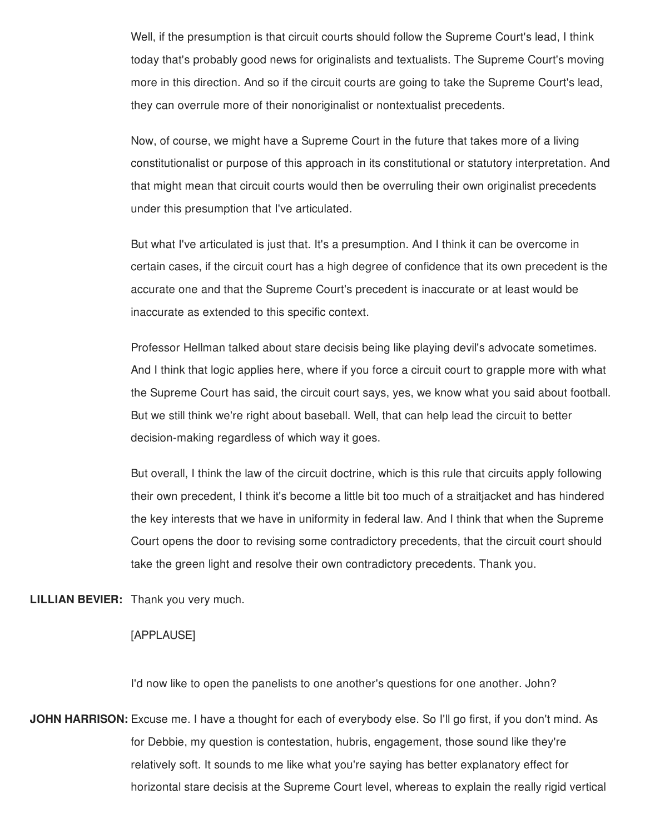Well, if the presumption is that circuit courts should follow the Supreme Court's lead, I think today that's probably good news for originalists and textualists. The Supreme Court's moving more in this direction. And so if the circuit courts are going to take the Supreme Court's lead, they can overrule more of their nonoriginalist or nontextualist precedents.

Now, of course, we might have a Supreme Court in the future that takes more of a living constitutionalist or purpose of this approach in its constitutional or statutory interpretation. And that might mean that circuit courts would then be overruling their own originalist precedents under this presumption that I've articulated.

But what I've articulated is just that. It's a presumption. And I think it can be overcome in certain cases, if the circuit court has a high degree of confidence that its own precedent is the accurate one and that the Supreme Court's precedent is inaccurate or at least would be inaccurate as extended to this specific context.

Professor Hellman talked about stare decisis being like playing devil's advocate sometimes. And I think that logic applies here, where if you force a circuit court to grapple more with what the Supreme Court has said, the circuit court says, yes, we know what you said about football. But we still think we're right about baseball. Well, that can help lead the circuit to better decision-making regardless of which way it goes.

But overall, I think the law of the circuit doctrine, which is this rule that circuits apply following their own precedent, I think it's become a little bit too much of a straitjacket and has hindered the key interests that we have in uniformity in federal law. And I think that when the Supreme Court opens the door to revising some contradictory precedents, that the circuit court should take the green light and resolve their own contradictory precedents. Thank you.

**LILLIAN BEVIER:** Thank you very much.

## [APPLAUSE]

I'd now like to open the panelists to one another's questions for one another. John?

**JOHN HARRISON:** Excuse me. I have a thought for each of everybody else. So I'll go first, if you don't mind. As for Debbie, my question is contestation, hubris, engagement, those sound like they're relatively soft. It sounds to me like what you're saying has better explanatory effect for horizontal stare decisis at the Supreme Court level, whereas to explain the really rigid vertical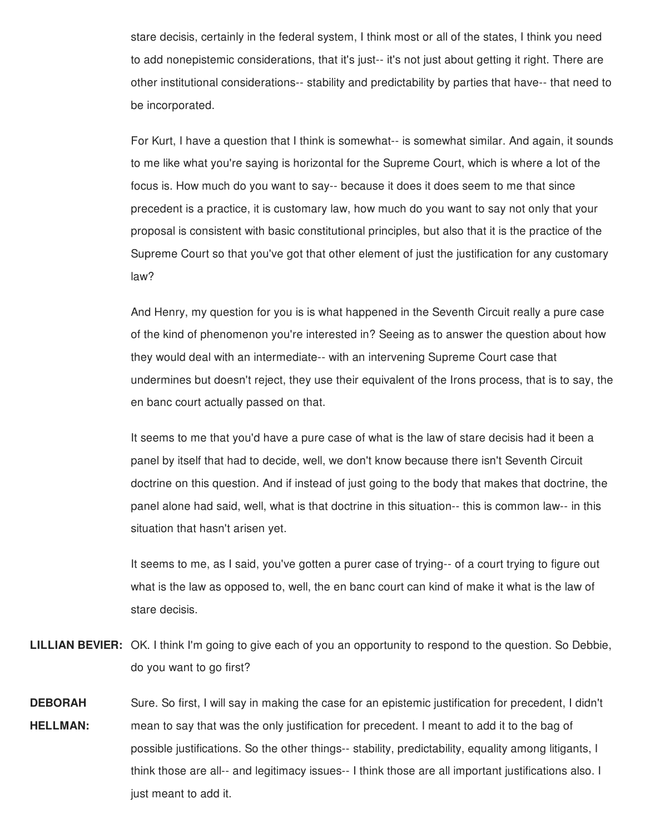stare decisis, certainly in the federal system, I think most or all of the states, I think you need to add nonepistemic considerations, that it's just-- it's not just about getting it right. There are other institutional considerations-- stability and predictability by parties that have-- that need to be incorporated.

For Kurt, I have a question that I think is somewhat-- is somewhat similar. And again, it sounds to me like what you're saying is horizontal for the Supreme Court, which is where a lot of the focus is. How much do you want to say-- because it does it does seem to me that since precedent is a practice, it is customary law, how much do you want to say not only that your proposal is consistent with basic constitutional principles, but also that it is the practice of the Supreme Court so that you've got that other element of just the justification for any customary law?

And Henry, my question for you is is what happened in the Seventh Circuit really a pure case of the kind of phenomenon you're interested in? Seeing as to answer the question about how they would deal with an intermediate-- with an intervening Supreme Court case that undermines but doesn't reject, they use their equivalent of the Irons process, that is to say, the en banc court actually passed on that.

It seems to me that you'd have a pure case of what is the law of stare decisis had it been a panel by itself that had to decide, well, we don't know because there isn't Seventh Circuit doctrine on this question. And if instead of just going to the body that makes that doctrine, the panel alone had said, well, what is that doctrine in this situation-- this is common law-- in this situation that hasn't arisen yet.

It seems to me, as I said, you've gotten a purer case of trying-- of a court trying to figure out what is the law as opposed to, well, the en banc court can kind of make it what is the law of stare decisis.

- **LILLIAN BEVIER:** OK. I think I'm going to give each of you an opportunity to respond to the question. So Debbie, do you want to go first?
- **DEBORAH HELLMAN:** Sure. So first, I will say in making the case for an epistemic justification for precedent, I didn't mean to say that was the only justification for precedent. I meant to add it to the bag of possible justifications. So the other things-- stability, predictability, equality among litigants, I think those are all-- and legitimacy issues-- I think those are all important justifications also. I just meant to add it.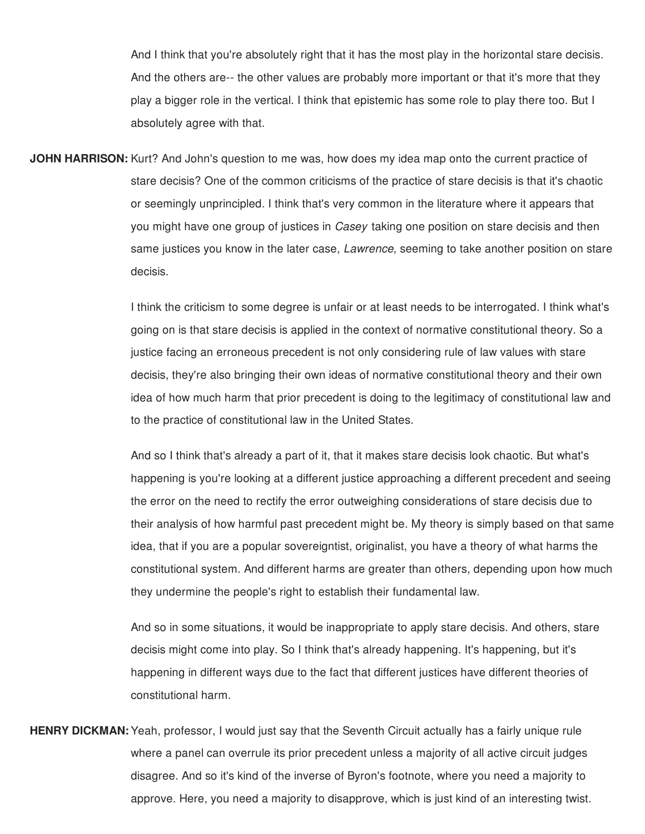And I think that you're absolutely right that it has the most play in the horizontal stare decisis. And the others are-- the other values are probably more important or that it's more that they play a bigger role in the vertical. I think that epistemic has some role to play there too. But I absolutely agree with that.

**JOHN HARRISON:** Kurt? And John's question to me was, how does my idea map onto the current practice of stare decisis? One of the common criticisms of the practice of stare decisis is that it's chaotic or seemingly unprincipled. I think that's very common in the literature where it appears that you might have one group of justices in *Casey* taking one position on stare decisis and then same justices you know in the later case, *Lawrence,* seeming to take another position on stare decisis.

> I think the criticism to some degree is unfair or at least needs to be interrogated. I think what's going on is that stare decisis is applied in the context of normative constitutional theory. So a justice facing an erroneous precedent is not only considering rule of law values with stare decisis, they're also bringing their own ideas of normative constitutional theory and their own idea of how much harm that prior precedent is doing to the legitimacy of constitutional law and to the practice of constitutional law in the United States.

> And so I think that's already a part of it, that it makes stare decisis look chaotic. But what's happening is you're looking at a different justice approaching a different precedent and seeing the error on the need to rectify the error outweighing considerations of stare decisis due to their analysis of how harmful past precedent might be. My theory is simply based on that same idea, that if you are a popular sovereigntist, originalist, you have a theory of what harms the constitutional system. And different harms are greater than others, depending upon how much they undermine the people's right to establish their fundamental law.

And so in some situations, it would be inappropriate to apply stare decisis. And others, stare decisis might come into play. So I think that's already happening. It's happening, but it's happening in different ways due to the fact that different justices have different theories of constitutional harm.

**HENRY DICKMAN:** Yeah, professor, I would just say that the Seventh Circuit actually has a fairly unique rule where a panel can overrule its prior precedent unless a majority of all active circuit judges disagree. And so it's kind of the inverse of Byron's footnote, where you need a majority to approve. Here, you need a majority to disapprove, which is just kind of an interesting twist.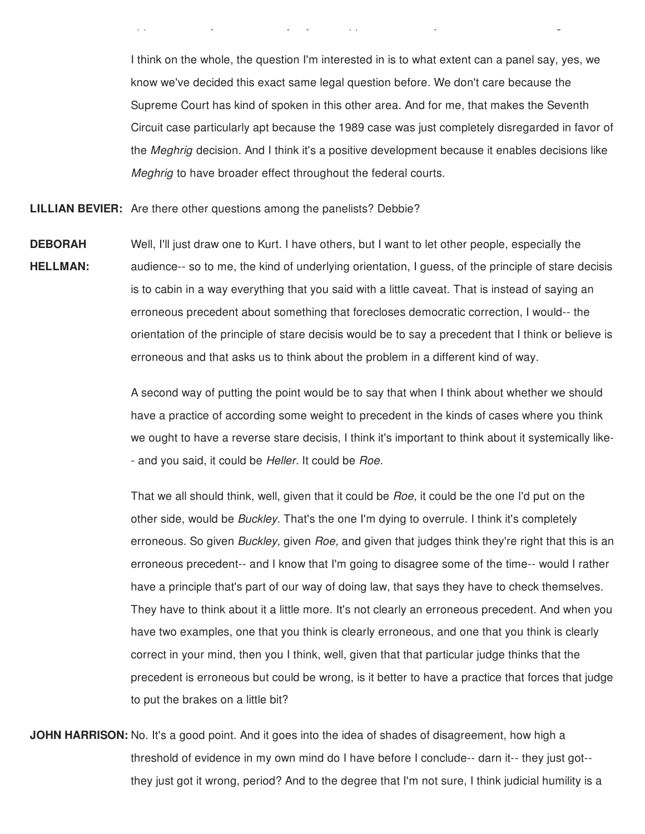I think on the whole, the question I'm interested in is to what extent can a panel say, yes, we know we've decided this exact same legal question before. We don't care because the Supreme Court has kind of spoken in this other area. And for me, that makes the Seventh Circuit case particularly apt because the 1989 case was just completely disregarded in favor of the *Meghrig* decision. And I think it's a positive development because it enables decisions like *Meghrig* to have broader effect throughout the federal courts.

approve. Here, you need a majority to disapprove, which is just kind of an interesting twist.

**LILLIAN BEVIER:** Are there other questions among the panelists? Debbie?

**DEBORAH HELLMAN:** Well, I'll just draw one to Kurt. I have others, but I want to let other people, especially the audience-- so to me, the kind of underlying orientation, I guess, of the principle of stare decisis is to cabin in a way everything that you said with a little caveat. That is instead of saying an erroneous precedent about something that forecloses democratic correction, I would-- the orientation of the principle of stare decisis would be to say a precedent that I think or believe is erroneous and that asks us to think about the problem in a different kind of way.

> A second way of putting the point would be to say that when I think about whether we should have a practice of according some weight to precedent in the kinds of cases where you think we ought to have a reverse stare decisis, I think it's important to think about it systemically like- - and you said, it could be *Heller.* It could be *Roe.*

> That we all should think, well, given that it could be *Roe,* it could be the one I'd put on the other side, would be *Buckley.* That's the one I'm dying to overrule. I think it's completely erroneous. So given *Buckley,* given *Roe,* and given that judges think they're right that this is an erroneous precedent-- and I know that I'm going to disagree some of the time-- would I rather have a principle that's part of our way of doing law, that says they have to check themselves. They have to think about it a little more. It's not clearly an erroneous precedent. And when you have two examples, one that you think is clearly erroneous, and one that you think is clearly correct in your mind, then you I think, well, given that that particular judge thinks that the precedent is erroneous but could be wrong, is it better to have a practice that forces that judge to put the brakes on a little bit?

**JOHN HARRISON:** No. It's a good point. And it goes into the idea of shades of disagreement, how high a threshold of evidence in my own mind do I have before I conclude-- darn it-- they just got- they just got it wrong, period? And to the degree that I'm not sure, I think judicial humility is a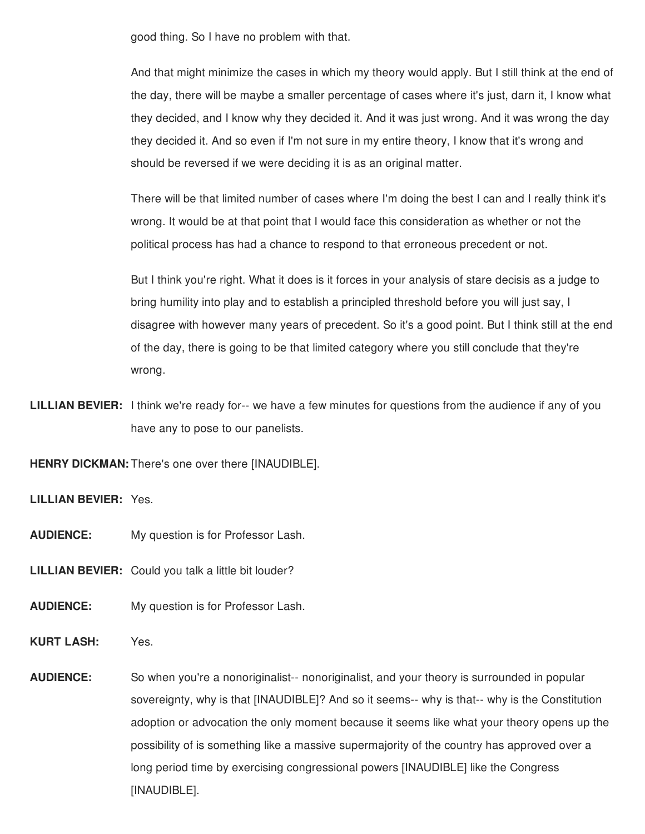good thing. So I have no problem with that.

And that might minimize the cases in which my theory would apply. But I still think at the end of the day, there will be maybe a smaller percentage of cases where it's just, darn it, I know what they decided, and I know why they decided it. And it was just wrong. And it was wrong the day they decided it. And so even if I'm not sure in my entire theory, I know that it's wrong and should be reversed if we were deciding it is as an original matter.

There will be that limited number of cases where I'm doing the best I can and I really think it's wrong. It would be at that point that I would face this consideration as whether or not the political process has had a chance to respond to that erroneous precedent or not.

But I think you're right. What it does is it forces in your analysis of stare decisis as a judge to bring humility into play and to establish a principled threshold before you will just say, I disagree with however many years of precedent. So it's a good point. But I think still at the end of the day, there is going to be that limited category where you still conclude that they're wrong.

**LILLIAN BEVIER:** I think we're ready for-- we have a few minutes for questions from the audience if any of you have any to pose to our panelists.

**HENRY DICKMAN:** There's one over there [INAUDIBLE].

**LILLIAN BEVIER:** Yes.

**AUDIENCE:** My question is for Professor Lash.

**LILLIAN BEVIER:** Could you talk a little bit louder?

**AUDIENCE:** My question is for Professor Lash.

**KURT LASH:** Yes.

**AUDIENCE:** So when you're a nonoriginalist-- nonoriginalist, and your theory is surrounded in popular sovereignty, why is that [INAUDIBLE]? And so it seems-- why is that-- why is the Constitution adoption or advocation the only moment because it seems like what your theory opens up the possibility of is something like a massive supermajority of the country has approved over a long period time by exercising congressional powers [INAUDIBLE] like the Congress [INAUDIBLE].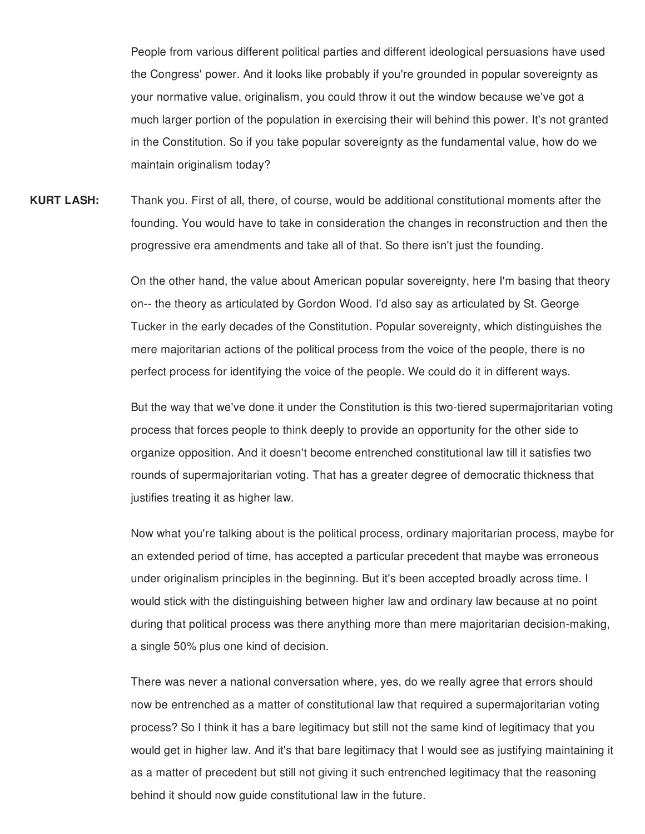People from various different political parties and different ideological persuasions have used the Congress' power. And it looks like probably if you're grounded in popular sovereignty as your normative value, originalism, you could throw it out the window because we've got a much larger portion of the population in exercising their will behind this power. It's not granted in the Constitution. So if you take popular sovereignty as the fundamental value, how do we maintain originalism today?

**KURT LASH:** Thank you. First of all, there, of course, would be additional constitutional moments after the founding. You would have to take in consideration the changes in reconstruction and then the progressive era amendments and take all of that. So there isn't just the founding.

> On the other hand, the value about American popular sovereignty, here I'm basing that theory on-- the theory as articulated by Gordon Wood. I'd also say as articulated by St. George Tucker in the early decades of the Constitution. Popular sovereignty, which distinguishes the mere majoritarian actions of the political process from the voice of the people, there is no perfect process for identifying the voice of the people. We could do it in different ways.

> But the way that we've done it under the Constitution is this two-tiered supermajoritarian voting process that forces people to think deeply to provide an opportunity for the other side to organize opposition. And it doesn't become entrenched constitutional law till it satisfies two rounds of supermajoritarian voting. That has a greater degree of democratic thickness that justifies treating it as higher law.

> Now what you're talking about is the political process, ordinary majoritarian process, maybe for an extended period of time, has accepted a particular precedent that maybe was erroneous under originalism principles in the beginning. But it's been accepted broadly across time. I would stick with the distinguishing between higher law and ordinary law because at no point during that political process was there anything more than mere majoritarian decision-making, a single 50% plus one kind of decision.

> There was never a national conversation where, yes, do we really agree that errors should now be entrenched as a matter of constitutional law that required a supermajoritarian voting process? So I think it has a bare legitimacy but still not the same kind of legitimacy that you would get in higher law. And it's that bare legitimacy that I would see as justifying maintaining it as a matter of precedent but still not giving it such entrenched legitimacy that the reasoning behind it should now guide constitutional law in the future.